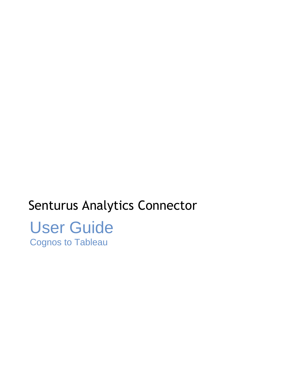# Senturus Analytics Connector User Guide Cognos to Tableau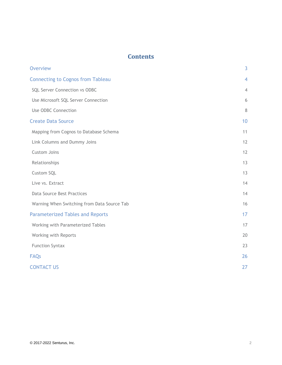# **Contents**

| <b>Overview</b>                             | 3              |
|---------------------------------------------|----------------|
| <b>Connecting to Cognos from Tableau</b>    | 4              |
| SQL Server Connection vs ODBC               | $\overline{4}$ |
| Use Microsoft SQL Server Connection         | 6              |
| Use ODBC Connection                         | 8              |
| <b>Create Data Source</b>                   | 10             |
| Mapping from Cognos to Database Schema      | 11             |
| Link Columns and Dummy Joins                | 12             |
| Custom Joins                                | 12             |
| Relationships                               | 13             |
| Custom SQL                                  | 13             |
| Live vs. Extract                            | 14             |
| <b>Data Source Best Practices</b>           | 14             |
| Warning When Switching from Data Source Tab | 16             |
| <b>Parameterized Tables and Reports</b>     | 17             |
| Working with Parameterized Tables           | 17             |
| Working with Reports                        | 20             |
| <b>Function Syntax</b>                      | 23             |
| <b>FAQs</b>                                 | 26             |
| <b>CONTACT US</b>                           | 27             |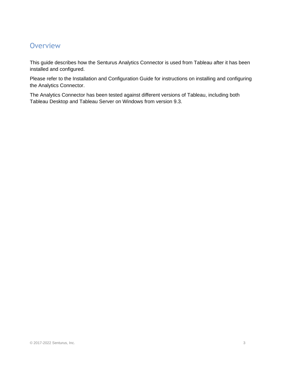# <span id="page-2-0"></span>**Overview**

This guide describes how the Senturus Analytics Connector is used from Tableau after it has been installed and configured.

Please refer to the Installation and Configuration Guide for instructions on installing and configuring the Analytics Connector.

The Analytics Connector has been tested against different versions of Tableau, including both Tableau Desktop and Tableau Server on Windows from version 9.3.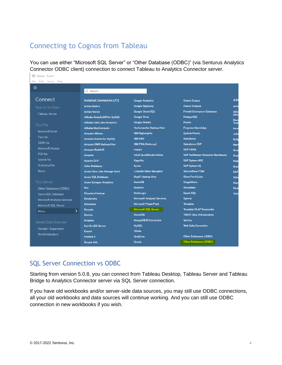# <span id="page-3-0"></span>Connecting to Cognos from Tableau

You can use either "Microsoft SQL Server" or "Other Database (ODBC)" (via Senturus Analytics Connector ODBC client) connection to connect Tableau to Analytics Connector server.

| ※ Tableau - Book1           |                                  |                                    |                                         |              |
|-----------------------------|----------------------------------|------------------------------------|-----------------------------------------|--------------|
| Data Server Help<br>File    |                                  |                                    |                                         |              |
| ₩                           |                                  |                                    |                                         |              |
|                             | $O$ Search                       |                                    |                                         |              |
| Connect                     | <b>Installed Connectors (77)</b> | <b>Google Analytics</b>            | <b>Oracle Eloqua</b>                    | Add          |
| Search for Data             | <b>Actian Matrix</b>             | <b>Google BigQuery</b>             | <b>Oracle Essbase</b>                   | Actia        |
| <b>Tableau Server</b>       | <b>Actian Vector</b>             | <b>Google Cloud SOL</b>            | <b>Pivotal Greenplum Database</b>       | <b>Altin</b> |
|                             | Alibaba AnalyticDB for MySQL     | <b>Google Drive</b>                | <b>PostgreSQL</b>                       | <b>Altin</b> |
| To a File                   | Alibaba Data Lake Analytics      | <b>Google Sheets</b>               | Presto                                  | Deno<br>Tech |
|                             | Alibaba MaxCompute               | <b>Hortonworks Hadoop Hive</b>     | <b>Progress OpenEdge</b>                | Inco         |
| <b>Microsoft Excel</b>      | <b>Amazon Athena</b>             | <b>IBM BigInsights</b>             | <b>Qubole Presto</b>                    | Jeth         |
| <b>Text file</b>            | <b>Amazon Aurora for MySQL</b>   | <b>IBM DB2</b>                     | <b>Salesforce</b>                       | Kylig        |
| <b>JSON</b> file            | <b>Amazon EMR Hadoop Hive</b>    | <b>IBM PDA (Netezza)</b>           | <b>Salesforce CDP</b>                   | Marl         |
| <b>Microsoft Access</b>     | <b>Amazon Redshift</b>           | Impala                             | <b>SAP HANA</b>                         | Ocie         |
| PDF file                    | <b>Anaplan</b>                   | <b>Intuit QuickBooks Online</b>    | <b>SAP NetWeaver Business Warehouse</b> | Orac         |
| Spatial file                | <b>Apache Drill</b>              | Kognitio                           | <b>SAP Sybase ASE</b>                   | Pala         |
| <b>Statistical file</b>     | <b>Aster Database</b>            | <b>Kyvos</b>                       | <b>SAP Sybase IO</b>                    | Qub          |
| More                        | Azure Data Lake Storage Gen2     | <b>LinkedIn Sales Navigator</b>    | <b>ServiceNow ITSM</b>                  | <b>SAP</b>   |
|                             | <b>Azure SQL Database</b>        | <b>MapR Hadoop Hive</b>            | <b>SharePoint Lists</b>                 | SOre         |
| To a Server                 | <b>Azure Synapse Analytics</b>   | <b>MariaDB</b>                     | <b>SingleStore</b>                      | Star         |
| Other Databases (ODBC)      | <b>Box</b>                       | <b>Marketo</b>                     | <b>Snowflake</b>                        | Strai        |
| Azure SOL Database          | <b>Cloudera Hadoop</b>           | <b>MarkLogic</b>                   | <b>Spark SQL</b>                        | Yello        |
| Microsoft Analysis Services | <b>Databricks</b>                | <b>Microsoft Analysis Services</b> | <b>Splunk</b>                           |              |
| Microsoft SQL Server        | Datorama                         | <b>Microsoft PowerPivot</b>        | <b>Teradata</b>                         |              |
| More                        | <b>Denodo</b><br>$\mathcal{P}$   | <b>Microsoft SQL Server</b>        | <b>Teradata OLAP Connector</b>          |              |
|                             | <b>Dremio</b>                    | <b>MonetDB</b>                     | <b>TIBCO Data Virtualization</b>        |              |
| Saved Data Sources          | <b>Dropbox</b>                   | <b>MongoDB BI Connector</b>        | Vertica                                 |              |
|                             | <b>Esri ArcGIS Server</b>        | <b>MySOL</b>                       | <b>Web Data Connector</b>               |              |
| Sample - Superstore         | <b>Exasol</b>                    | <b>OData</b>                       |                                         |              |
| <b>World Indicators</b>     | <b>Firebird 3</b>                | <b>OneDrive</b>                    | <b>Other Databases (JDBC)</b>           |              |
|                             | <b>Google Ads</b>                | Oracle                             | <b>Other Databases (ODBC)</b>           |              |

## <span id="page-3-1"></span>SQL Server Connection vs ODBC

Starting from version 5.0.8, you can connect from Tableau Desktop, Tableau Server and Tableau Bridge to Analytics Connector server via SQL Server connection.

If you have old workbooks and/or server-side data sources, you may still use ODBC connections, all your old workbooks and data sources will continue working. And you can still use ODBC connection in new workbooks if you wish.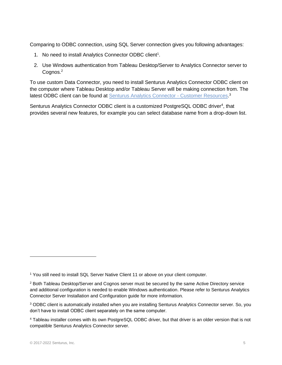Comparing to ODBC connection, using SQL Server connection gives you following advantages:

- 1. No need to install Analytics Connector ODBC client<sup>1</sup>.
- 2. Use Windows authentication from Tableau Desktop/Server to Analytics Connector server to Cognos.<sup>2</sup>

To use custom Data Connector, you need to install Senturus Analytics Connector ODBC client on the computer where Tableau Desktop and/or Tableau Server will be making connection from. The latest ODBC client can be found at [Senturus Analytics Connector -](https://www.senturus.net/connector-download/) Customer Resources.<sup>3</sup>

Senturus Analytics Connector ODBC client is a customized PostgreSQL ODBC driver<sup>4</sup>, that provides several new features, for example you can select database name from a drop-down list.

<sup>1</sup> You still need to install SQL Server Native Client 11 or above on your client computer.

<sup>2</sup> Both Tableau Desktop/Server and Cognos server must be secured by the same Active Directory service and additional configuration is needed to enable Windows authentication. Please refer to Senturus Analytics Connector Server Installation and Configuration guide for more information.

<sup>3</sup> ODBC client is automatically installed when you are installing Senturus Analytics Connector server. So, you don't have to install ODBC client separately on the same computer.

<sup>4</sup> Tableau installer comes with its own PostgreSQL ODBC driver, but that driver is an older version that is not compatible Senturus Analytics Connector server.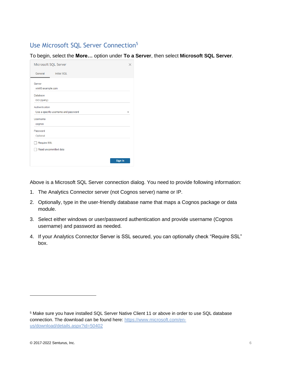# <span id="page-5-0"></span>Use Microsoft SQL Server Connection<sup>5</sup>

To begin, select the **More…** option under **To a Server**, then select **Microsoft SQL Server**.

| Microsoft SQL Server                                   | $\times$ |
|--------------------------------------------------------|----------|
| General<br><b>Initial SQL</b>                          |          |
| Server<br>win03.example.com                            |          |
| Database<br>GO (query)                                 |          |
| Authentication<br>Use a specific username and password |          |
| Username<br>cognos                                     |          |
| Password<br>Optional                                   |          |
| Require SSL                                            |          |
| Read uncommitted data                                  |          |
| Sign In                                                |          |

Above is a Microsoft SQL Server connection dialog. You need to provide following information:

- 1. The Analytics Connector server (not Cognos server) name or IP.
- 2. Optionally, type in the user-friendly database name that maps a Cognos package or data module.
- 3. Select either windows or user/password authentication and provide username (Cognos username) and password as needed.
- 4. If your Analytics Connector Server is SSL secured, you can optionally check "Require SSL" box.

<sup>5</sup> Make sure you have installed SQL Server Native Client 11 or above in order to use SQL database connection. The download can be found here: [https://www.microsoft.com/en](https://www.microsoft.com/en-us/download/details.aspx?id=50402)[us/download/details.aspx?id=50402](https://www.microsoft.com/en-us/download/details.aspx?id=50402)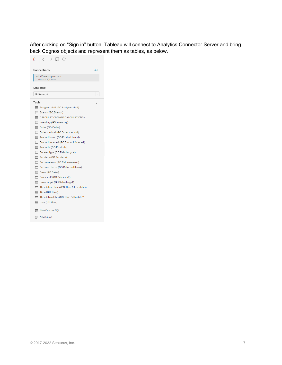After clicking on "Sign in" button, Tableau will connect to Analytics Connector Server and bring back Cognos objects and represent them as tables, as below.

| $\leftarrow$ $\rightarrow$ $\Box$ $\odot$     |     |
|-----------------------------------------------|-----|
| Connections                                   | Add |
| win03.example.com<br>Microsoft SQL Server     |     |
| Database                                      |     |
| GO (query)                                    |     |
| Table                                         | Ω   |
| 用 Assigned staff (GO.Assigned staff)          |     |
| Branch (GO.Branch)<br>囲                       |     |
| <b>III</b> CALCULATIONS (GO.CALCULATIONS)     |     |
| 用 Inventory (GO.Inventory)                    |     |
| 用 Order (GO.Order)                            |     |
| Order method (GO.Order method)<br>囲           |     |
| 用 Product brand (GO.Product brand)            |     |
| Product forecast (GO.Product forecast)<br>囲   |     |
| 囲<br>Products (GO.Products)                   |     |
| 囲<br>Retailer type (GO.Retailer type)         |     |
| Retailers (GO.Retailers)<br>囲                 |     |
| 囲<br>Return reason (GO.Return reason)         |     |
| Returned items (GO.Returned items)            |     |
| 用 Sales (GO.Sales)                            |     |
| 用 Sales staff (GO.Sales staff)                |     |
| 田 Sales target (GO.Sales target)              |     |
| Time (close date) (GO.Time (close date))<br>囲 |     |
| Time (GO.Time)<br>囲                           |     |
| 翩<br>Time (ship date) (GO.Time (ship date))   |     |
| 用 User (GO.User)                              |     |
| New Custom SQL                                |     |
| $\boxplus$ New Union                          |     |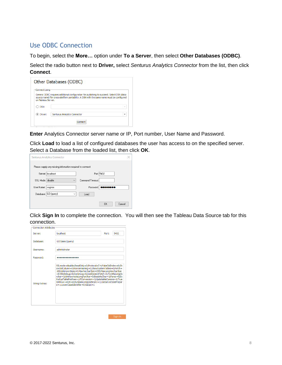# <span id="page-7-0"></span>Use ODBC Connection

To begin, select the **More…** option under **To a Server**, then select **Other Databases (ODBC)**.

Select the radio button next to **Driver,** select *Senturus Analytics Connector* from the list, then click **Connect**.

|                    | Other Databases (ODBC)                                                                                                                                                                 |
|--------------------|----------------------------------------------------------------------------------------------------------------------------------------------------------------------------------------|
| Connect Using      |                                                                                                                                                                                        |
| on Tableau Server. | Generic ODBC requires additional configuration for publishing to succeed, Select DSN (data<br>source name) for cross-platform portability. A DSN with the same name must be configured |
| DSN:               | $\overline{\phantom{a}}$                                                                                                                                                               |
| (.) Driver:        | Senturus Analytics Connector<br>٠                                                                                                                                                      |
|                    | Connect                                                                                                                                                                                |

**Enter** Analytics Connector server name or IP, Port number, User Name and Password.

Click **Load** to load a list of configured databases the user has access to on the specified server. Select a Database from the loaded list, then click **OK**.

| Senturus Analytics Connector<br>×<br>Please supply any missing information required to connect.<br>Port: 5432<br>Server: localhost<br>SSL Mode: disable<br>Command Timeout:<br>$\checkmark$ |
|---------------------------------------------------------------------------------------------------------------------------------------------------------------------------------------------|
|                                                                                                                                                                                             |
|                                                                                                                                                                                             |
|                                                                                                                                                                                             |
|                                                                                                                                                                                             |
|                                                                                                                                                                                             |
| User Name:<br>Password:<br>cognos                                                                                                                                                           |
|                                                                                                                                                                                             |
| Database: GO (query)<br>Load<br>$\checkmark$                                                                                                                                                |
|                                                                                                                                                                                             |
| <b>OK</b><br>Cancel                                                                                                                                                                         |

Click **Sign In** to complete the connection. You will then see the Tableau Data Source tab for this connection.

| <b>Connection Attributes</b> |                                                                                                                                                                                                                                                                                                                                                                                                                                                                                  |
|------------------------------|----------------------------------------------------------------------------------------------------------------------------------------------------------------------------------------------------------------------------------------------------------------------------------------------------------------------------------------------------------------------------------------------------------------------------------------------------------------------------------|
| Server:                      | localhost<br>Port:<br>5432                                                                                                                                                                                                                                                                                                                                                                                                                                                       |
| Database:                    | GO Sales (query)                                                                                                                                                                                                                                                                                                                                                                                                                                                                 |
| Lisername:                   | administrator                                                                                                                                                                                                                                                                                                                                                                                                                                                                    |
| Password:                    |                                                                                                                                                                                                                                                                                                                                                                                                                                                                                  |
| <b>String Extras:</b>        | SSLmode=disable:ReadOnly=0:Protocol=7.4:FakeOidIndex=0:Sh<br>owOidColumn=0:RowVersioning=0:ShowSystemTables=0:Fetch=<br>100;UnknownSizes=0;MaxVarcharSize=255;MaxLongVarcharSize<br>=8190;Debug=0;CommLog=0;UseDeclareFetch=0;TextAsLongVa<br>rchar = 1;UnknownsAsLongVarchar = 0;BoolsAsChar = 1;Parse = 0;Ex<br>traSysTablePrefixes=;LFConversion=1;UpdatableCursors=1;True<br>IsMinus1=0;BI=0;ByteaAsLongVarBinary=1;UseServerSidePrepar<br>e=1:LowerCaseIdentifier=0:XaOpt=1 |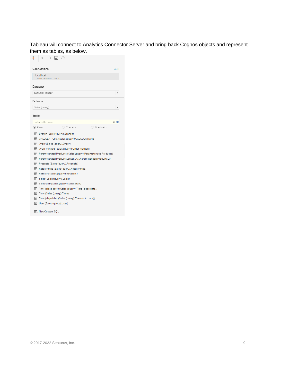Tableau will connect to Analytics Connector Server and bring back Cognos objects and represent them as tables, as below.

|        | $\rightarrow$ $\Box$ $\odot$         |                                                      |                                                               |     |
|--------|--------------------------------------|------------------------------------------------------|---------------------------------------------------------------|-----|
|        | Connections                          |                                                      |                                                               | Add |
|        | localhost<br>Other Databases (ODBC)  |                                                      |                                                               |     |
|        | Database                             |                                                      |                                                               |     |
|        | GO Sales (query)                     |                                                      |                                                               |     |
| Schema |                                      |                                                      |                                                               |     |
|        | Sales (guery)                        |                                                      |                                                               | ٠   |
| Table  |                                      |                                                      |                                                               |     |
|        | Enter table name                     |                                                      |                                                               | 오빠  |
|        | (•) Exact                            | ◯ Contains                                           | ◯ Starts with                                                 |     |
| 用      | Branch (Sales (query). Branch)       |                                                      |                                                               |     |
| 翢      |                                      | CALCULATIONS (Sales (query).CALCULATIONS)            |                                                               |     |
| 用      | Order (Sales (query).Order)          |                                                      |                                                               |     |
| 用      |                                      | Order method (Sales (query). Order method)           |                                                               |     |
| 用      |                                      |                                                      | Parameterized Products (Sales (query).Parameterized Products) |     |
| 囲      |                                      |                                                      | Parameterized Products 2 (Salry). Parameterized Products 2)   |     |
| 囲      | Products (Sales (query).Products)    |                                                      |                                                               |     |
| 囲      |                                      | Retailer type (Sales (query). Retailer type)         |                                                               |     |
| 用      | Retailers (Sales (query). Retailers) |                                                      |                                                               |     |
| 囲      | Sales (Sales (query). Sales)         |                                                      |                                                               |     |
| 用      |                                      | Sales staff (Sales (query). Sales staff)             |                                                               |     |
| 翢      |                                      | Time (close date) (Sales (query). Time (close date)) |                                                               |     |
| 翩      | Time (Sales (query). Time)           |                                                      |                                                               |     |
| 翩      |                                      | Time (ship date) (Sales (query). Time (ship date))   |                                                               |     |
| 用      | User (Sales (query).User)            |                                                      |                                                               |     |
|        | New Custom SQL                       |                                                      |                                                               |     |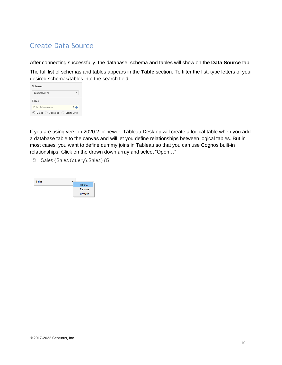# <span id="page-9-0"></span>Create Data Source

After connecting successfully, the database, schema and tables will show on the **Data Source** tab.

The full list of schemas and tables appears in the **Table** section. To filter the list, type letters of your desired schemas/tables into the search field.

| Schema                                             |      |  |
|----------------------------------------------------|------|--|
| Sales (query)                                      |      |  |
| Table                                              |      |  |
| Enter table name                                   | o de |  |
| $\circ$ Exact $\circ$ Contains $\circ$ Starts with |      |  |

If you are using version 2020.2 or newer, Tableau Desktop will create a logical table when you add a database table to the canvas and will let you define relationships between logical tables. But in most cases, you want to define dummy joins in Tableau so that you can use Cognos built-in relationships. Click on the drown down array and select "Open…"

<sup>O</sup> Sales (Sales (query). Sales) (G

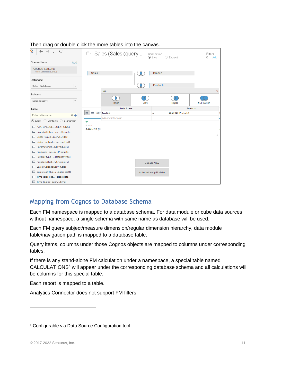| €<br>a,                                     |                     | <sup>0</sup> Sales (Sales (query |      | Connection<br>$\odot$ Live  | ○ Extract                  | Filters<br>$0$ Add |
|---------------------------------------------|---------------------|----------------------------------|------|-----------------------------|----------------------------|--------------------|
| Connections<br>Add                          |                     |                                  |      |                             |                            |                    |
| Cognos_Senturus<br>Other Databases (ODBC)   | <b>Sales</b>        |                                  |      | <b>Branch</b>               |                            |                    |
| Database                                    |                     |                                  |      |                             |                            |                    |
| Select Database<br>$\overline{\phantom{a}}$ |                     |                                  |      | Products                    |                            |                    |
|                                             |                     | Join                             |      |                             |                            | $\times$           |
| Schema                                      |                     |                                  |      |                             |                            |                    |
| Sales (query)<br>$\overline{\phantom{a}}$   |                     | Inner                            | Left |                             | Right                      | <b>Full Outer</b>  |
| Table                                       |                     | Data Source                      |      |                             | Products                   |                    |
| 文事<br>Enter table name                      | 囲<br>- 11           | Sor Aaa Link                     |      | Ξ                           | <b>AAA LINK (Products)</b> |                    |
| ◉ Exact (C Contains (C Starts with          |                     | Add new join clause              |      |                             |                            |                    |
|                                             | #<br>Branch         |                                  |      |                             |                            |                    |
| FEE AAA_CALCULCULATIONS)                    | <b>AAA LINK (BI</b> |                                  |      |                             |                            |                    |
| <b>ET Branch (Salesuery).Branch)</b>        |                     |                                  |      |                             |                            |                    |
| Order (Sales (query).Order)<br>亜            |                     |                                  |      |                             |                            |                    |
| Order methodrder method)<br>⊞               |                     |                                  |      |                             |                            |                    |
| FFI Parameterizeed Products)                |                     |                                  |      |                             |                            |                    |
| Products (Salry).Products)<br>囲             |                     |                                  |      |                             |                            |                    |
| Retailer type (Retailer type)<br>亜          |                     |                                  |      |                             |                            |                    |
| Retailers (Salry).Retailers)                |                     |                                  |      | <b>Update Now</b>           |                            |                    |
| Sales (Sales (query). Sales)<br>囲           |                     |                                  |      |                             |                            |                    |
| Sales staff (Say). Sales staff)<br>囲        |                     |                                  |      | <b>Automatically Update</b> |                            |                    |
| Time (close da (close date))                |                     |                                  |      |                             |                            |                    |
| Time (Sales (query). Time)                  |                     |                                  |      |                             |                            |                    |

#### Then drag or double click the more tables into the canvas.

## <span id="page-10-0"></span>Mapping from Cognos to Database Schema

Each FM namespace is mapped to a database schema. For data module or cube data sources without namespace, a single schema with same name as database will be used.

Each FM query subject/measure dimension/regular dimension hierarchy, data module table/navigation path is mapped to a database table.

Query items, columns under those Cognos objects are mapped to columns under corresponding tables.

If there is any stand-alone FM calculation under a namespace, a special table named CALCULATIONS<sup>6</sup> will appear under the corresponding database schema and all calculations will be columns for this special table.

Each report is mapped to a table.

Analytics Connector does not support FM filters.

<sup>&</sup>lt;sup>6</sup> Configurable via Data Source Configuration tool.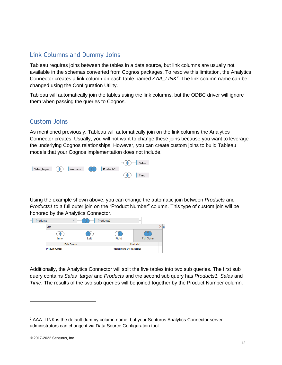# <span id="page-11-0"></span>Link Columns and Dummy Joins

Tableau requires joins between the tables in a data source, but link columns are usually not available in the schemas converted from Cognos packages. To resolve this limitation, the Analytics Connector creates a link column on each table named *AAA\_LINK<sup>7</sup>* . The link column name can be changed using the Configuration Utility.

Tableau will automatically join the tables using the link columns, but the ODBC driver will ignore them when passing the queries to Cognos.

### <span id="page-11-1"></span>Custom Joins

As mentioned previously, Tableau will automatically join on the link columns the Analytics Connector creates. Usually, you will not want to change these joins because you want to leverage the underlying Cognos relationships. However, you can create custom joins to build Tableau models that your Cognos implementation does not include.



Using the example shown above, you can change the automatic join between *Products* and *Products1* to a full outer join on the "Product Number" column. This type of custom join will be honored by the Analytics Connector.



Additionally, the Analytics Connector will split the five tables into two sub queries. The first sub query contains *Sales\_target* and *Products* and the second sub query has *Products1, Sales* and *Time*. The results of the two sub queries will be joined together by the Product Number column.

<sup>7</sup> AAA\_LINK is the default dummy column name, but your Senturus Analytics Connector server administrators can change it via Data Source Configuration tool.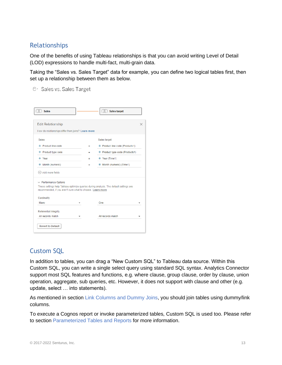# <span id="page-12-0"></span>Relationships

One of the benefits of using Tableau relationships is that you can avoid writing Level of Detail (LOD) expressions to handle multi-fact, multi-grain data.

Taking the "Sales vs. Sales Target" data for example, you can define two logical tables first, then set up a relationship between them as below.

<sup>O</sup> Sales vs. Sales Target

| Sales target                                                                                                                                         |                                                                                                                          |
|------------------------------------------------------------------------------------------------------------------------------------------------------|--------------------------------------------------------------------------------------------------------------------------|
| Ξ                                                                                                                                                    |                                                                                                                          |
| ٠                                                                                                                                                    |                                                                                                                          |
| # Year (Time1)<br>Ξ                                                                                                                                  |                                                                                                                          |
| # Month (numeric) (Time1)<br>Ξ                                                                                                                       |                                                                                                                          |
|                                                                                                                                                      |                                                                                                                          |
|                                                                                                                                                      |                                                                                                                          |
|                                                                                                                                                      |                                                                                                                          |
| These settings help Tableau optimize queries during analysis. The default settings are<br>recommended, if you aren't sure what to choose. Learn more |                                                                                                                          |
|                                                                                                                                                      |                                                                                                                          |
| One                                                                                                                                                  |                                                                                                                          |
|                                                                                                                                                      |                                                                                                                          |
|                                                                                                                                                      | How do relationships differ from joins? Learn more<br># Product line code (Products1)<br># Product type code (Products1) |

# <span id="page-12-1"></span>Custom SQL

In addition to tables, you can drag a "New Custom SQL" to Tableau data source. Within this Custom SQL, you can write a single select query using standard SQL syntax. Analytics Connector support most SQL features and functions, e.g. where clause, group clause, order by clause, union operation, aggregate, sub queries, etc. However, it does not support with clause and other (e.g. update, select … into statements).

As mentioned in section Link Columns [and Dummy Joins,](#page-11-0) you should join tables using dummy/link columns.

To execute a Cognos report or invoke parameterized tables, Custom SQL is used too. Please refer to section [Parameterized Tables and Reports](#page-16-0) for more information.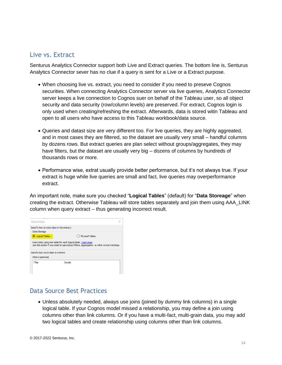### <span id="page-13-0"></span>Live vs. Extract

Senturus Analytics Connector support both Live and Extract queries. The bottom line is, Senturus Analytics Connector sever has no clue if a query is sent for a Live or a Extract purpose.

- When choosing live vs. extract, you need to consider if you need to preseve Cognos securities. When connecting Analytics Connector server via live queries, Analytics Connector server keeps a live connection to Cognos suer on behalf of the Tableau user, so all object security and data security (row/column levels) are preserved. For extract, Cognos login is only used when creating/refreshing the extract. Afterwards, data is stored witin Tableau and open to all users who have access to this Tableau workbook/data source.
- Queries and datast size are very different too. For live queries, they are highly aggreated, and in most cases they are filtered, so the dataset are usually very small – handful columns by dozens rows. But extract queries are plan select without groups/aggregates, they may have filters, but the dataset are usually very big – dozens of columns by hundreds of thousands rows or more.
- Performance wise, extrat usually provide better performance, but it's not always true. If your extract is huge while live queries are small and fact, live queries may overperformance extract.

An important note, make sure you checked "**Logical Tables**" (default) for "**Data Storeage**" when creating the extract. Otherwise Tableau will store tables separately and join them using AAA\_LINK column when query extract – thus generating incorrect result.

| Store data using one table for each logical table. Learn more<br>Use this option if you need to use extract filters, aggregation, or other extract settings. |  |  |  |  |  |
|--------------------------------------------------------------------------------------------------------------------------------------------------------------|--|--|--|--|--|
|                                                                                                                                                              |  |  |  |  |  |
|                                                                                                                                                              |  |  |  |  |  |
|                                                                                                                                                              |  |  |  |  |  |
|                                                                                                                                                              |  |  |  |  |  |

# <span id="page-13-1"></span>Data Source Best Practices

• Unless absolutely needed, always use joins (joined by dummy link columns) in a single logical table. If your Cognos model missed a relationship, you may define a join using columns other than link columns. Or if you have a multi-fact, multi-grain data, you may add two logical tables and create relationship using columns other than link columns.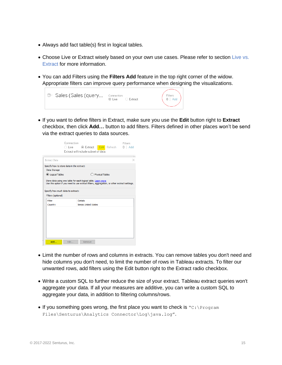- Always add fact table(s) first in logical tables.
- Choose Live or Extract wisely based on your own use cases. Please refer to section [Live vs.](#page-13-0) [Extract](#page-13-0) for more information.
- You can add Filters using the **Filters Add** feature in the top right corner of the widow. Appropriate filters can improve query performance when designing the visualizations.



• If you want to define filters in Extract, make sure you use the **Edit** button right to **Extract** checkbox, then click **Add…** button to add filters. Filters defined in other places won't be send via the extract queries to data sources.

|                                                         | Connection | Extract will include subset of data. |                 | <b>Filters</b><br>$0$   Add |
|---------------------------------------------------------|------------|--------------------------------------|-----------------|-----------------------------|
| <b>Extract Data</b>                                     |            |                                      |                 |                             |
| Specify how to store data in the extract:               |            |                                      |                 |                             |
| Data Storage                                            |            |                                      |                 |                             |
| C Logical Tables                                        |            |                                      | Physical Tables |                             |
|                                                         |            |                                      |                 |                             |
| Specify how much data to extract:<br>Filters (optional) |            |                                      |                 |                             |
| Filter                                                  |            | <b>Details</b>                       |                 |                             |
| Country                                                 |            | keeps United States                  |                 |                             |
|                                                         |            |                                      |                 |                             |

- Limit the number of rows and columns in extracts. You can remove tables you don't need and hide columns you don't need, to limit the number of rows in Tableau extracts. To filter our unwanted rows, add filters using the Edit button right to the Extract radio checkbox.
- Write a custom SQL to further reduce the size of your extract. Tableau extract queries won't aggregate your data. If all your measures are additive, you can write a custom SQL to aggregate your data, in addition to filtering columns/rows.
- If you something goes wrong, the first place you want to check is  $C:\Per">\$ Files\Senturus\Analytics Connector\Log\java.log".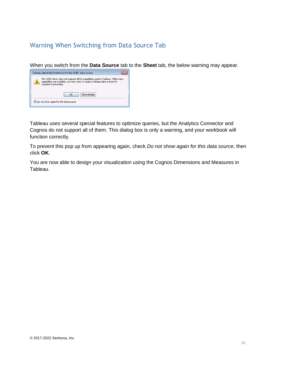# <span id="page-15-0"></span>Warning When Switching from Data Source Tab

When you switch from the **Data Source** tab to the **Sheet** tab, the below warning may appear.



Tableau uses several special features to optimize queries, but the Analytics Connector and Cognos do not support all of them. This dialog box is only a warning, and your workbook will function correctly.

To prevent this pop up from appearing again, check *Do not show again for this data source*, then click **OK**.

You are now able to design your visualization using the Cognos Dimensions and Measures in Tableau.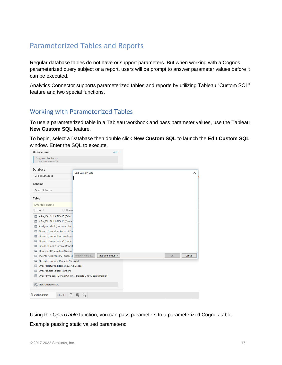# <span id="page-16-0"></span>Parameterized Tables and Reports

Regular database tables do not have or support parameters. But when working with a Cognos parameterized query subject or a report, users will be prompt to answer parameter values before it can be executed.

Analytics Connector supports parameterized tables and reports by utilizing Tableau "Custom SQL" feature and two special functions.

## <span id="page-16-1"></span>Working with Parameterized Tables

To use a parameterized table in a Tableau workbook and pass parameter values, use the Tableau **New Custom SQL** feature.

To begin, select a Database then double click **New Custom SQL** to launch the **Edit Custom SQL**  window. Enter the SQL to execute.

| Connections                                          | Add                                                      |                                                              |          |
|------------------------------------------------------|----------------------------------------------------------|--------------------------------------------------------------|----------|
| Cognos_Senturus<br>Other Databases (ODBC)            |                                                          |                                                              |          |
| Database                                             | <b>Edit Custom SQL</b>                                   |                                                              | $\times$ |
| Select Database                                      |                                                          |                                                              |          |
| Schema                                               |                                                          |                                                              |          |
| Select Schema                                        |                                                          |                                                              |          |
| Table                                                |                                                          |                                                              |          |
| Enter table name                                     |                                                          |                                                              |          |
| ⊙ Exact<br>C Conta                                   |                                                          |                                                              |          |
| THE AAA_CALCULATIONS (Filter                         |                                                          |                                                              |          |
| FE AAA_CALCULATIONS (Sales                           |                                                          |                                                              |          |
| Assigned staff (Returned item<br>用                   |                                                          |                                                              |          |
| Branch (Inventory (query). Bra<br>囲                  |                                                          |                                                              |          |
| Branch (Product forecast (que<br>⊞                   |                                                          |                                                              |          |
| Branch (Sales (query).Branch<br>囲                    |                                                          |                                                              |          |
| Briefing Book (Sample Report<br>囲                    |                                                          |                                                              |          |
| Horizontal Pagination (Sampl.<br>囲                   |                                                          |                                                              |          |
| Inventory (Inventory (query).   Preview Results<br>囲 | Insert Parameter ▼                                       | $\mathsf{OK}% _{\mathsf{CL}}^{\mathsf{CL}}(\mathcal{M}_{0})$ | Cancel   |
| No Data (Sample Reports.No Data)<br>囲                |                                                          |                                                              |          |
| Order (Returned items (query).Order)<br>囲            |                                                          |                                                              |          |
| Order (Sales (query).Order)<br>囲                     |                                                          |                                                              |          |
| ⊞                                                    | Order Invoices - Donald Chow- Donald Chow, Sales Person) |                                                              |          |
|                                                      |                                                          |                                                              |          |
| <b>EX</b> New Custom SQL                             |                                                          |                                                              |          |
| <b><i>Data Source</i></b><br>u,<br>Sheet 1           | ⊞.<br>4                                                  |                                                              |          |

Using the *OpenTable* function, you can pass parameters to a parameterized Cognos table. Example passing static valued parameters: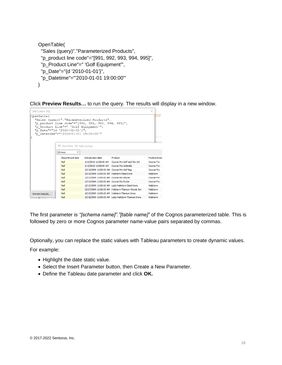```
OpenTable(
  "Sales (query)"."Parameterized Products", 
  "p_product line code"="[991, 992, 993, 994, 995]", 
  "p_Product Line"=" 'Golf Equipment'",
  "p_Date"="{d '2010-01-01'}", 
  "p_Datetime"="'2010-01-01 19:00:00'"
\lambda
```
Click **Preview Results…** to run the query. The results will display in a new window.

| <b>Edit Custom SOL</b>                                                   |                                                                                                               |                                                                                                  |                                                      | ×                 |  |
|--------------------------------------------------------------------------|---------------------------------------------------------------------------------------------------------------|--------------------------------------------------------------------------------------------------|------------------------------------------------------|-------------------|--|
| OpenTable(                                                               | "p Product Line"=" 'Golf Equipment'",<br>"p Date"="{d '2010-01-01'}",<br>"p Datetime"="'2010-01-01 19:00:00'" | "Sales (query)". "Parameterized Products",<br>"p product line code"="[991, 992, 993, 994, 995]", |                                                      | ere               |  |
|                                                                          | <b>III</b> View Data: GO Sales (query)                                                                        |                                                                                                  |                                                      |                   |  |
|                                                                          | $\Rightarrow$<br>15 rows                                                                                      |                                                                                                  |                                                      |                   |  |
|                                                                          | Discontinued date                                                                                             | Introduction date                                                                                | Product                                              | Product branc     |  |
|                                                                          | Null                                                                                                          | 1/10/2010 12:00:00 AM                                                                            | Course Pro Golf and Tee Set                          | Course Pro        |  |
|                                                                          | Null                                                                                                          | 1/15/2010 12:00:00 AM Course Pro Umbrella                                                        |                                                      | Course Pro        |  |
|                                                                          | Null                                                                                                          | 12/15/2009 12:00:00 AM Course Pro Golf Bag                                                       |                                                      | Course Pro        |  |
|                                                                          | Null                                                                                                          | 12/15/2009 12:00:00 AM Hailstorm Steel Irons                                                     |                                                      | <b>Hailstorm</b>  |  |
|                                                                          | Null                                                                                                          | 12/27/2009 12:00:00 AM Course Pro Gloves                                                         |                                                      | <b>Course Pro</b> |  |
|                                                                          | Null                                                                                                          | 12/10/2009 12:00:00 AM Course Pro Putter                                                         |                                                      | Course Pro        |  |
| Hailstorm<br>12/10/2009 12:00:00 AM   Lady Hailstorm Steel Irons<br>Null |                                                                                                               |                                                                                                  |                                                      |                   |  |
| Null<br>12/27/2009 12:00:00 AM Hailstorm Titanium Woods Set              |                                                                                                               |                                                                                                  |                                                      |                   |  |
| Preview Results                                                          | Null                                                                                                          | 12/10/2009 12:00:00 AM Hailstorm Titanium Irons                                                  |                                                      | Hailstorm         |  |
|                                                                          | Null                                                                                                          |                                                                                                  | 12/18/2009 12:00:00 AM Lady Hailstorm Titanium Irons | Hailstorm         |  |

The first parameter is *"[schema name]"."[table name]"* of the Cognos parameterized table. This is followed by zero or more Cognos parameter name-value pairs separated by commas.

Optionally, you can replace the static values with Tableau parameters to create dynamic values.

For example:

- Highlight the date static value.
- Select the Insert Parameter button, then Create a New Parameter.
- Define the Tableau date parameter and click **OK.**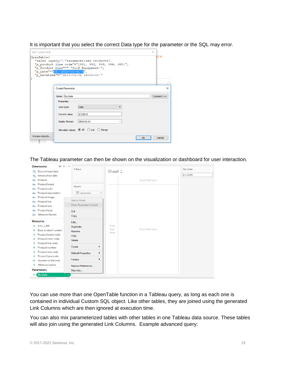It is important that you select the correct Data type for the parameter or the SQL may error.

| <b>Edit Custom SOL</b> |                              |                                                                                                                                                                                   |    | ×          |
|------------------------|------------------------------|-----------------------------------------------------------------------------------------------------------------------------------------------------------------------------------|----|------------|
| OpenTable(             | "p Date"="{d '2010-01-01'}", | "Sales (query)". "Parameterized Products",<br>"p product line code"="[991, 992, 993, 994, 995]",<br>"p Product Line"=" 'Golf Equipment'",<br>"p Datetime"="'2010-01-01 19:00:00'" |    | ere        |
|                        | <b>Create Parameter</b>      |                                                                                                                                                                                   |    | $\times$   |
|                        | Name: My Date                |                                                                                                                                                                                   |    | Comment >> |
|                        | Properties<br>Data type:     | <b>Date</b>                                                                                                                                                                       |    |            |
|                        | Current value:               | 1/1/2010                                                                                                                                                                          |    |            |
|                        | Display format:              | 2010-01-01                                                                                                                                                                        |    |            |
|                        |                              | Allowable values: ● All ○ List ○ Range                                                                                                                                            |    |            |
| Preview Results        |                              |                                                                                                                                                                                   | OK | Cancel     |

The Tableau parameter can then be shown on the visualization or dashboard for user interaction.

| <b>Dimensions</b><br>β. Β                  | ⊢<br><b>Filters</b>                          |                          | My Date  |
|--------------------------------------------|----------------------------------------------|--------------------------|----------|
| Discontinued date<br>鳥                     |                                              | Sheet 1                  |          |
| Introduction date<br>農                     |                                              |                          | 1/1/2010 |
| Product<br>Abc                             |                                              | Drop field here          |          |
| Product brand<br>Abc                       | Marks                                        |                          |          |
| Product color<br>Abc                       |                                              |                          |          |
| Product description<br>Abc                 | <b>T</b> Automatic<br>$\overline{\mathbf v}$ |                          |          |
| Product image<br>Abc                       |                                              |                          |          |
| Product line<br>Abc                        | <b>Add to Sheet</b>                          |                          |          |
| Product size<br>Abc                        | <b>Show Parameter Control</b>                |                          |          |
| Product type<br>Abc                        | Cut                                          |                          |          |
| <b>Measure Names</b><br>Abc.               | Copy                                         |                          |          |
| <b>Measures</b>                            | Edit                                         |                          |          |
| AAA LINK<br>#                              | Duplicate                                    | Drop                     |          |
| Base product number<br>$^{\rm \texttt{+}}$ | Rename                                       | field<br>Drop field here |          |
| Product brand code<br>#                    | Hide                                         | here                     |          |
| Product color code<br>$\pm$                | Delete                                       |                          |          |
| Product line code<br>$\pm$                 |                                              |                          |          |
| Product number<br>$^{\rm \texttt{+}}$      | Create<br>١                                  |                          |          |
| Product size code<br>$^{\rm \texttt{+}}$   | <b>Default Properties</b><br>۱               |                          |          |
| Product type code<br>#                     | <b>Folders</b><br>١                          |                          |          |
| Number of Records<br>-#                    |                                              |                          |          |
| Measure Values<br>$\ddot{}$                | Replace References                           |                          |          |
| <b>Parameters</b>                          | Describe                                     |                          |          |
| My Date<br>曲                               | ٠                                            |                          |          |

You can use more than one OpenTable function in a Tableau query, as long as each one is contained in individual Custom SQL object. Like other tables, they are joined using the generated Link Columns which are then ignored at execution time.

You can also mix parameterized tables with other tables in one Tableau data source. These tables will also join using the generated Link Columns. Example advanced query: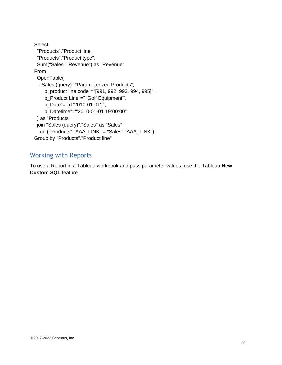```
Select
  "Products"."Product line",
  "Products"."Product type",
  Sum("Sales"."Revenue") as "Revenue"
From 
  OpenTable(
   "Sales (query)"."Parameterized Products",
    "p_product line code"="[991, 992, 993, 994, 995]", 
    "p_Product Line"=" 'Golf Equipment'",
    "p_Date"="{d '2010-01-01'}", 
    "p_Datetime"="'2010-01-01 19:00:00'"
  ) as "Products" 
  join "Sales (query)"."Sales" as "Sales" 
   on ("Products"."AAA_LINK" = "Sales"."AAA_LINK")
Group by "Products"."Product line"
```
# <span id="page-19-0"></span>Working with Reports

To use a Report in a Tableau workbook and pass parameter values, use the Tableau **New Custom SQL** feature.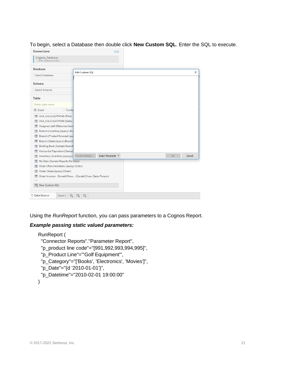#### To begin, select a Database then double click **New Custom SQL**. Enter the SQL to execute.

| Connections                                              | Add                                   |    |          |
|----------------------------------------------------------|---------------------------------------|----|----------|
| Cognos_Senturus<br>Other Databases (ODBC)                |                                       |    |          |
| Database                                                 | <b>Edit Custom SQL</b>                |    | $\times$ |
| Select Database                                          |                                       |    |          |
| Schema                                                   |                                       |    |          |
| Select Schema                                            |                                       |    |          |
| Table                                                    |                                       |    |          |
| Enter table name                                         |                                       |    |          |
| ⊙ Exact<br>C Conta                                       |                                       |    |          |
| THE AAA_CALCULATIONS (Filter.                            |                                       |    |          |
| THE AAA_CALCULATIONS (Sales                              |                                       |    |          |
| Assigned staff (Returned item<br>用                       |                                       |    |          |
| Branch (Inventory (query). Bra                           |                                       |    |          |
| Branch (Product forecast (que                            |                                       |    |          |
| Branch (Sales (query). Branch<br>用                       |                                       |    |          |
| <b>Briefing Book (Sample Report</b><br>亜                 |                                       |    |          |
| Horizontal Pagination (Sampl                             |                                       |    |          |
| Inventory (Inventory (query).<br>亜                       | Insert Parameter ▼<br>Preview Results | OK | Cancel   |
| No Data (Sample Reports.No Data)<br>亜                    |                                       |    |          |
| Order (Returned items (query).Order)<br>亜                |                                       |    |          |
| <b>EE</b> Order (Sales (query). Order)                   |                                       |    |          |
| Order Invoices - Donald Chow- Donald Chow, Sales Person) |                                       |    |          |
| R. New Custom SQL                                        |                                       |    |          |
| <b>Data Source</b><br>區<br>Sheet 1                       | ⊞.<br>$\Box^+$                        |    |          |
|                                                          |                                       |    |          |

Using the *RunReport* function, you can pass parameters to a Cognos Report.

### *Example passing static valued parameters:*

```
RunReport (
```

```
 "Connector Reports"."Parameter Report",
```

```
 "p_product line code"="[991,992,993,994,995]",
```

```
 "p_Product Line"="'Golf Equipment'",
```

```
 "p_Category"="['Books', 'Electronics', 'Movies']",
```

```
 "p_Date"="{d '2010-01-01'}",
```

```
 "p_Datetime"="2010-02-01 19:00:00"
```

```
)
```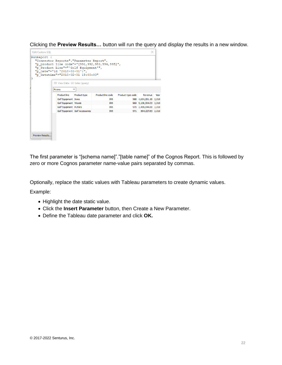Clicking the **Preview Results…** button will run the query and display the results in a new window.

| <b>Edit Custom SOL</b><br>RunReport ( |              | "Connector Reports". "Parameter Report",<br>"p Product Line"="'Golf Equipment'",<br>"p Date"="{d '2010-01-01'}",<br>"p Datetime"="2010-02-01 19:00:00" | "p product line code"="[991,992,993,994,995]", |                           | $\times$                |      |
|---------------------------------------|--------------|--------------------------------------------------------------------------------------------------------------------------------------------------------|------------------------------------------------|---------------------------|-------------------------|------|
|                                       |              | <b>III</b> View Data: GO Sales (query)                                                                                                                 |                                                |                           |                         |      |
|                                       | 4 rows       | ÷                                                                                                                                                      |                                                |                           |                         |      |
|                                       |              |                                                                                                                                                        |                                                |                           |                         |      |
|                                       | Product line | Product type                                                                                                                                           | Product line code                              | Product type code Revenue |                         | Year |
|                                       |              | Golf Equipment Irons                                                                                                                                   | 995                                            |                           | 968 4,654,281.10 2,010  |      |
|                                       |              | Golf Equipment Woods                                                                                                                                   | 995                                            |                           | 969 5,138,304.03 2,010  |      |
|                                       |              | Golf Equipment Putters                                                                                                                                 | 995                                            |                           | 970 2,459,044.00 2,010  |      |
|                                       |              | Golf Equipment Golf Accessories                                                                                                                        | 995                                            |                           | 971 864, 227, 83 2, 010 |      |
| Preview Results                       |              |                                                                                                                                                        |                                                |                           |                         |      |

The first parameter is "[schema name]"."[table name]" of the Cognos Report. This is followed by zero or more Cognos parameter name-value pairs separated by commas.

Optionally, replace the static values with Tableau parameters to create dynamic values.

Example:

- Highlight the date static value.
- Click the **Insert Parameter** button, then Create a New Parameter.
- Define the Tableau date parameter and click **OK.**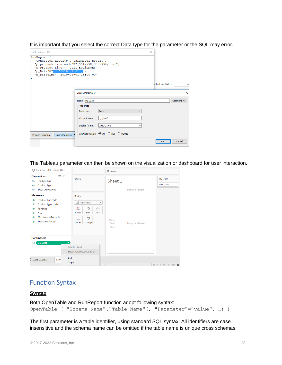It is important that you select the correct Data type for the parameter or the SQL may error.

| <b>Edit Custom SOL</b>                                                                                                                                                |                                                                                                                                                                                                               | $\times$        |            |
|-----------------------------------------------------------------------------------------------------------------------------------------------------------------------|---------------------------------------------------------------------------------------------------------------------------------------------------------------------------------------------------------------|-----------------|------------|
| RunReport (<br>"Connector Reports". "Parameter Report",<br>"p Product Line"="'Golf Equipment'",<br>"p Date"="{d '2010-01-01'}",<br>"p Datetime"="2010-02-01 19:00:00" | "p product line code"="[991, 992, 993, 994, 995]",                                                                                                                                                            | w hidden fields | $\equiv$   |
|                                                                                                                                                                       | <b>Create Parameter</b>                                                                                                                                                                                       |                 | $\times$   |
| Preview Results<br><b>Insert Parameter</b>                                                                                                                            | Name: My Date<br>Properties<br><b>Date</b><br>Data type:<br>$\overline{\phantom{a}}$<br>1/1/2010<br>Current value:<br>Display format:<br>2010-01-01<br>$\checkmark$<br>Allowable values: ◉ All ○ List ○ Range |                 | Comment >> |
|                                                                                                                                                                       |                                                                                                                                                                                                               | OK              | Cancel     |

The Tableau parameter can then be shown on the visualization or dashboard for user interaction.

| H.<br>Custom_SQL_Query (G                                                                                                                          |                                                                                                                                                                      | E Rows                |                 |                                       |
|----------------------------------------------------------------------------------------------------------------------------------------------------|----------------------------------------------------------------------------------------------------------------------------------------------------------------------|-----------------------|-----------------|---------------------------------------|
| $\mathbb{R}$ $\alpha$<br><b>Dimensions</b><br>Abc Product line<br>Abc Product type                                                                 | Filters                                                                                                                                                              | Sheet 1               |                 | My Date<br>1/1/2010                   |
| Abc Measure Names                                                                                                                                  |                                                                                                                                                                      |                       | Drop field here |                                       |
| <b>Measures</b><br>Product line code<br>#<br>Product type code<br>#<br>Revenue<br>#<br>Year<br>#<br>Number of Records<br>-#<br>Measure Values<br># | <b>Marks</b><br><b>T</b> Automatic<br>$\overline{\phantom{a}}$<br>8<br>D<br>$\boxed{\text{T}}$<br>Size<br>Text<br>Color<br>$\frac{8}{000}$<br>Q<br>Tooltip<br>Detail | Drop<br>field<br>here | Drop field here |                                       |
| <b>Parameters</b><br>My Date<br>曲<br><b>D</b> Data Source<br><b>She</b>                                                                            | $\overline{\phantom{a}}$<br>Add to Sheet<br><b>Show Parameter Control</b><br>Cut                                                                                     |                       |                 |                                       |
|                                                                                                                                                    | Copy                                                                                                                                                                 |                       |                 | $\cdots$ =<br>$ A  =  A  =  A  =  A $ |

### <span id="page-22-0"></span>Function Syntax

### **Syntax**

```
Both OpenTable and RunReport function adopt following syntax:
OpenTable ( "Schema Name"."Table Name"(, "Parameter"="value", …) )
```
The first parameter is a table identifier, using standard SQL syntax. All identifiers are case insensitive and the schema name can be omitted if the table name is unique cross schemas.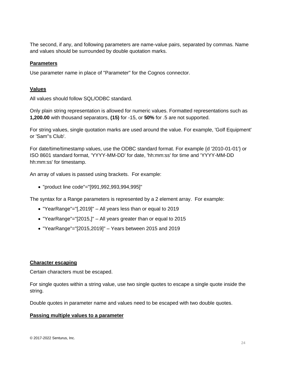The second, if any, and following parameters are name-value pairs, separated by commas. Name and values should be surrounded by double quotation marks.

#### **Parameters**

Use parameter name in place of "Parameter" for the Cognos connector.

### **Values**

All values should follow SQL/ODBC standard.

Only plain string representation is allowed for numeric values. Formatted representations such as **1,200.00** with thousand separators, **(15)** for -15, or **50%** for .5 are not supported.

For string values, single quotation marks are used around the value. For example, 'Golf Equipment' or 'Sam''s Club'.

For date/time/timestamp values, use the ODBC standard format. For example {d '2010-01-01'} or ISO 8601 standard format, 'YYYY-MM-DD' for date, 'hh:mm:ss' for time and 'YYYY-MM-DD hh:mm:ss' for timestamp.

An array of values is passed using brackets. For example:

• "product line code"="[991,992,993,994,995]"

The syntax for a Range parameters is represented by a 2 element array. For example:

- "YearRange"="[,2019]" All years less than or equal to 2019
- "YearRange"="[2015,]" All years greater than or equal to 2015
- "YearRange"="[2015,2019]" Years between 2015 and 2019

#### **Character escaping**

Certain characters must be escaped.

For single quotes within a string value, use two single quotes to escape a single quote inside the string.

Double quotes in parameter name and values need to be escaped with two double quotes.

#### **Passing multiple values to a parameter**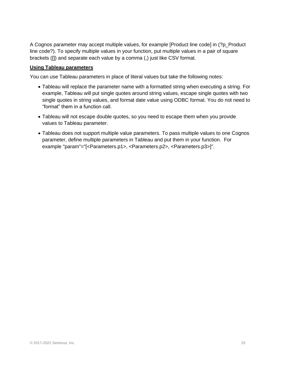A Cognos parameter may accept multiple values, for example [Product line code] in (?p\_Product line code?). To specify multiple values in your function, put multiple values in a pair of square brackets ([]) and separate each value by a comma (,) just like CSV format.

### **Using Tableau parameters**

You can use Tableau parameters in place of literal values but take the following notes:

- Tableau will replace the parameter name with a formatted string when executing a string. For example, Tableau will put single quotes around string values, escape single quotes with two single quotes in string values, and format date value using ODBC format. You do not need to "format" them in a function call.
- Tableau will not escape double quotes, so you need to escape them when you provide values to Tableau parameter.
- Tableau does not support multiple value parameters. To pass multiple values to one Cognos parameter, define multiple parameters in Tableau and put them in your function. For example "param"="[<Parameters.p1>, <Parameters.p2>, <Parameters.p3>]".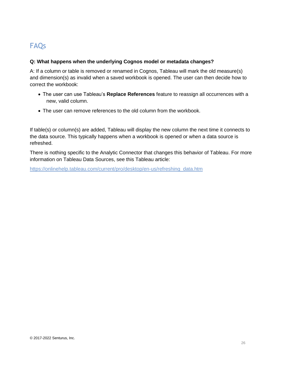# <span id="page-25-0"></span>FAQs

### **Q: What happens when the underlying Cognos model or metadata changes?**

A: If a column or table is removed or renamed in Cognos, Tableau will mark the old measure(s) and dimension(s) as invalid when a saved workbook is opened. The user can then decide how to correct the workbook:

- The user can use Tableau's **Replace References** feature to reassign all occurrences with a new, valid column.
- The user can remove references to the old column from the workbook.

If table(s) or column(s) are added, Tableau will display the new column the next time it connects to the data source. This typically happens when a workbook is opened or when a data source is refreshed.

There is nothing specific to the Analytic Connector that changes this behavior of Tableau. For more information on Tableau Data Sources, see this Tableau article:

https://onlinehelp.tableau.com/current/pro/desktop/en-us/refreshing\_data.htm